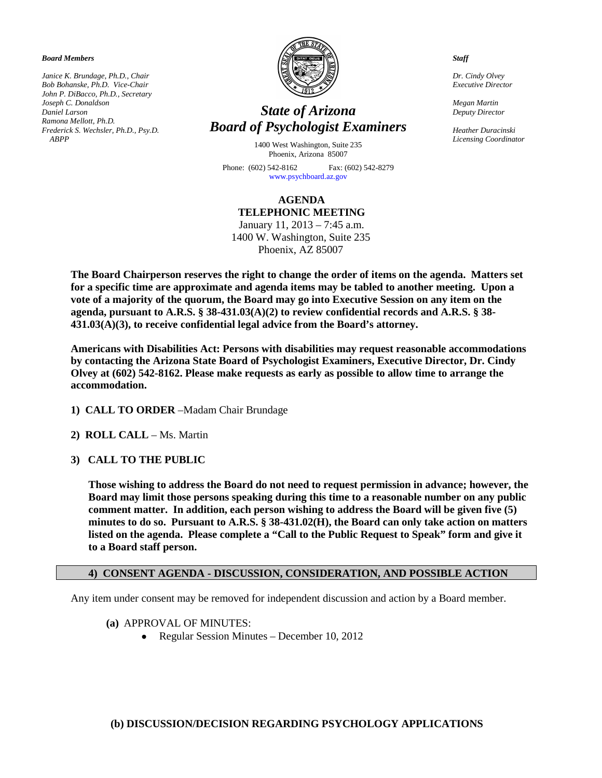*Board Members*

*Janice K. Brundage, Ph.D., Chair Bob Bohanske, Ph.D. Vice-Chair John P. DiBacco, Ph.D., Secretary Joseph C. Donaldson Daniel Larson Ramona Mellott, Ph.D. Frederick S. Wechsler, Ph.D., Psy.D. ABPP*



# *State of Arizona Board of Psychologist Examiners*

1400 West Washington, Suite 235 Phoenix, Arizona 85007

Phone: (602) 542-8162 Fax: (602) 542-8279 [www.psychboard.az.gov](http://www.psychboard.az.gov/) 

**AGENDA TELEPHONIC MEETING** January 11, 2013 – 7:45 a.m.

1400 W. Washington, Suite 235 Phoenix, AZ 85007

**The Board Chairperson reserves the right to change the order of items on the agenda. Matters set for a specific time are approximate and agenda items may be tabled to another meeting. Upon a vote of a majority of the quorum, the Board may go into Executive Session on any item on the agenda, pursuant to A.R.S. § 38-431.03(A)(2) to review confidential records and A.R.S. § 38- 431.03(A)(3), to receive confidential legal advice from the Board's attorney.**

**Americans with Disabilities Act: Persons with disabilities may request reasonable accommodations by contacting the Arizona State Board of Psychologist Examiners, Executive Director, Dr. Cindy Olvey at (602) 542-8162. Please make requests as early as possible to allow time to arrange the accommodation.**

- **1) CALL TO ORDER** –Madam Chair Brundage
- **2) ROLL CALL** Ms. Martin
- **3) CALL TO THE PUBLIC**

**Those wishing to address the Board do not need to request permission in advance; however, the Board may limit those persons speaking during this time to a reasonable number on any public comment matter. In addition, each person wishing to address the Board will be given five (5) minutes to do so. Pursuant to A.R.S. § 38-431.02(H), the Board can only take action on matters listed on the agenda. Please complete a "Call to the Public Request to Speak" form and give it to a Board staff person.**

#### **4) CONSENT AGENDA - DISCUSSION, CONSIDERATION, AND POSSIBLE ACTION**

Any item under consent may be removed for independent discussion and action by a Board member.

- **(a)** APPROVAL OF MINUTES:
	- Regular Session Minutes December 10, 2012

#### **(b) DISCUSSION/DECISION REGARDING PSYCHOLOGY APPLICATIONS**

*Staff*

*Dr. Cindy Olvey Executive Director*

*Megan Martin Deputy Director*

*Heather Duracinski Licensing Coordinator*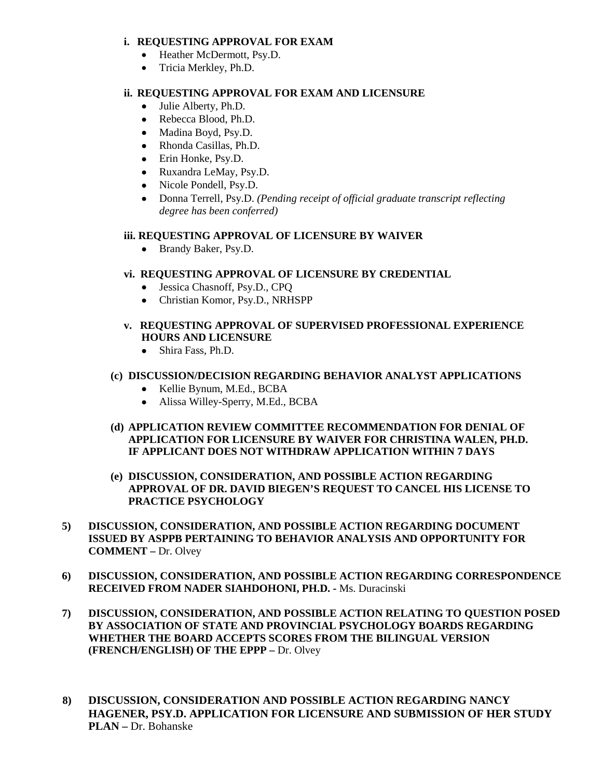### **i. REQUESTING APPROVAL FOR EXAM**

- Heather McDermott, Psy.D.
- Tricia Merkley, Ph.D.

#### **ii. REQUESTING APPROVAL FOR EXAM AND LICENSURE**

- Julie Alberty, Ph.D.
- Rebecca Blood, Ph.D.
- Madina Boyd, Psy.D.
- Rhonda Casillas, Ph.D.
- Erin Honke, Psy, D.
- Ruxandra LeMay, Psy.D.
- Nicole Pondell, Psy.D.
- Donna Terrell, Psy.D. *(Pending receipt of official graduate transcript reflecting degree has been conferred)*

### **iii. REQUESTING APPROVAL OF LICENSURE BY WAIVER**

• Brandy Baker, Psy.D.

# **vi. REQUESTING APPROVAL OF LICENSURE BY CREDENTIAL**

- Jessica Chasnoff, Psy.D., CPQ
- Christian Komor, Psy.D., NRHSPP
- **v. REQUESTING APPROVAL OF SUPERVISED PROFESSIONAL EXPERIENCE HOURS AND LICENSURE**
	- Shira Fass, Ph.D.

# **(c) DISCUSSION/DECISION REGARDING BEHAVIOR ANALYST APPLICATIONS**

- Kellie Bynum, M.Ed., BCBA
- Alissa Willey-Sperry, M.Ed., BCBA
- **(d) APPLICATION REVIEW COMMITTEE RECOMMENDATION FOR DENIAL OF APPLICATION FOR LICENSURE BY WAIVER FOR CHRISTINA WALEN, PH.D. IF APPLICANT DOES NOT WITHDRAW APPLICATION WITHIN 7 DAYS**
- **(e) DISCUSSION, CONSIDERATION, AND POSSIBLE ACTION REGARDING APPROVAL OF DR. DAVID BIEGEN'S REQUEST TO CANCEL HIS LICENSE TO PRACTICE PSYCHOLOGY**
- **5) DISCUSSION, CONSIDERATION, AND POSSIBLE ACTION REGARDING DOCUMENT ISSUED BY ASPPB PERTAINING TO BEHAVIOR ANALYSIS AND OPPORTUNITY FOR COMMENT –** Dr. Olvey
- **6) DISCUSSION, CONSIDERATION, AND POSSIBLE ACTION REGARDING CORRESPONDENCE RECEIVED FROM NADER SIAHDOHONI, PH.D. -** Ms. Duracinski
- **7) DISCUSSION, CONSIDERATION, AND POSSIBLE ACTION RELATING TO QUESTION POSED BY ASSOCIATION OF STATE AND PROVINCIAL PSYCHOLOGY BOARDS REGARDING WHETHER THE BOARD ACCEPTS SCORES FROM THE BILINGUAL VERSION (FRENCH/ENGLISH) OF THE EPPP –** Dr. Olvey
- **8) DISCUSSION, CONSIDERATION AND POSSIBLE ACTION REGARDING NANCY HAGENER, PSY.D. APPLICATION FOR LICENSURE AND SUBMISSION OF HER STUDY PLAN –** Dr. Bohanske